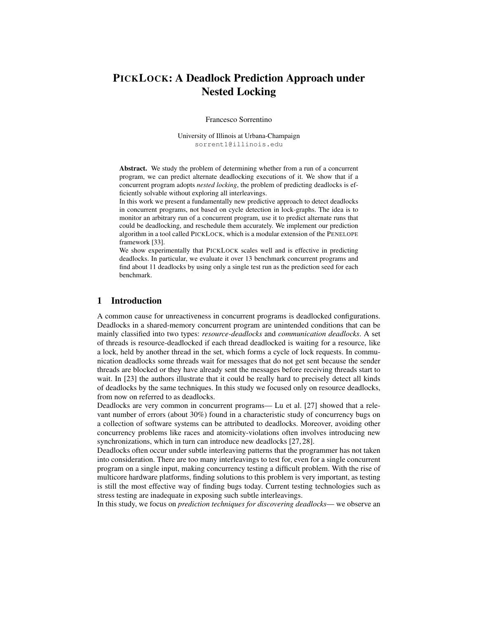# PICKLOCK: A Deadlock Prediction Approach under Nested Locking

Francesco Sorrentino

University of Illinois at Urbana-Champaign sorrent1@illinois.edu

Abstract. We study the problem of determining whether from a run of a concurrent program, we can predict alternate deadlocking executions of it. We show that if a concurrent program adopts *nested locking*, the problem of predicting deadlocks is efficiently solvable without exploring all interleavings.

In this work we present a fundamentally new predictive approach to detect deadlocks in concurrent programs, not based on cycle detection in lock-graphs. The idea is to monitor an arbitrary run of a concurrent program, use it to predict alternate runs that could be deadlocking, and reschedule them accurately. We implement our prediction algorithm in a tool called PICKLOCK, which is a modular extension of the PENELOPE framework [33].

We show experimentally that PICKLOCK scales well and is effective in predicting deadlocks. In particular, we evaluate it over 13 benchmark concurrent programs and find about 11 deadlocks by using only a single test run as the prediction seed for each benchmark.

# 1 Introduction

A common cause for unreactiveness in concurrent programs is deadlocked configurations. Deadlocks in a shared-memory concurrent program are unintended conditions that can be mainly classified into two types: *resource-deadlocks* and *communication deadlocks*. A set of threads is resource-deadlocked if each thread deadlocked is waiting for a resource, like a lock, held by another thread in the set, which forms a cycle of lock requests. In communication deadlocks some threads wait for messages that do not get sent because the sender threads are blocked or they have already sent the messages before receiving threads start to wait. In [23] the authors illustrate that it could be really hard to precisely detect all kinds of deadlocks by the same techniques. In this study we focused only on resource deadlocks, from now on referred to as deadlocks.

Deadlocks are very common in concurrent programs— Lu et al. [27] showed that a relevant number of errors (about 30%) found in a characteristic study of concurrency bugs on a collection of software systems can be attributed to deadlocks. Moreover, avoiding other concurrency problems like races and atomicity-violations often involves introducing new synchronizations, which in turn can introduce new deadlocks [27, 28].

Deadlocks often occur under subtle interleaving patterns that the programmer has not taken into consideration. There are too many interleavings to test for, even for a single concurrent program on a single input, making concurrency testing a difficult problem. With the rise of multicore hardware platforms, finding solutions to this problem is very important, as testing is still the most effective way of finding bugs today. Current testing technologies such as stress testing are inadequate in exposing such subtle interleavings.

In this study, we focus on *prediction techniques for discovering deadlocks*— we observe an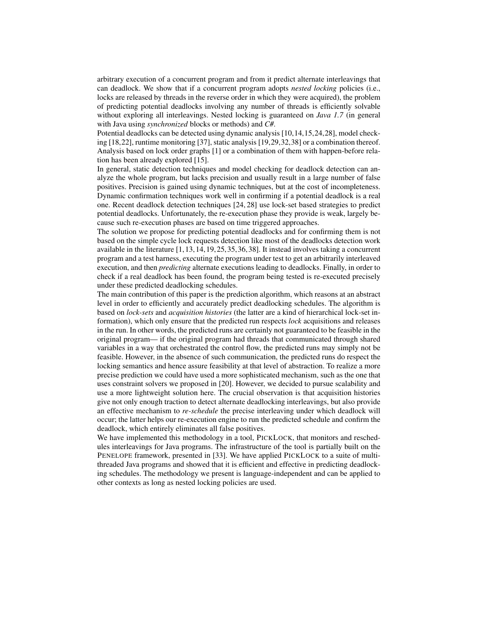arbitrary execution of a concurrent program and from it predict alternate interleavings that can deadlock. We show that if a concurrent program adopts *nested locking* policies (i.e., locks are released by threads in the reverse order in which they were acquired), the problem of predicting potential deadlocks involving any number of threads is efficiently solvable without exploring all interleavings. Nested locking is guaranteed on *Java 1.7* (in general with Java using *synchronized* blocks or methods) and *C#*.

Potential deadlocks can be detected using dynamic analysis [10,14,15,24,28], model checking [18,22], runtime monitoring [37], static analysis [19,29,32,38] or a combination thereof. Analysis based on lock order graphs [1] or a combination of them with happen-before relation has been already explored [15].

In general, static detection techniques and model checking for deadlock detection can analyze the whole program, but lacks precision and usually result in a large number of false positives. Precision is gained using dynamic techniques, but at the cost of incompleteness. Dynamic confirmation techniques work well in confirming if a potential deadlock is a real one. Recent deadlock detection techniques [24, 28] use lock-set based strategies to predict potential deadlocks. Unfortunately, the re-execution phase they provide is weak, largely because such re-execution phases are based on time triggered approaches.

The solution we propose for predicting potential deadlocks and for confirming them is not based on the simple cycle lock requests detection like most of the deadlocks detection work available in the literature  $[1, 13, 14, 19, 25, 35, 36, 38]$ . It instead involves taking a concurrent program and a test harness, executing the program under test to get an arbitrarily interleaved execution, and then *predicting* alternate executions leading to deadlocks. Finally, in order to check if a real deadlock has been found, the program being tested is re-executed precisely under these predicted deadlocking schedules.

The main contribution of this paper is the prediction algorithm, which reasons at an abstract level in order to efficiently and accurately predict deadlocking schedules. The algorithm is based on *lock-sets* and *acquisition histories* (the latter are a kind of hierarchical lock-set information), which only ensure that the predicted run respects *lock* acquisitions and releases in the run. In other words, the predicted runs are certainly not guaranteed to be feasible in the original program— if the original program had threads that communicated through shared variables in a way that orchestrated the control flow, the predicted runs may simply not be feasible. However, in the absence of such communication, the predicted runs do respect the locking semantics and hence assure feasibility at that level of abstraction. To realize a more precise prediction we could have used a more sophisticated mechanism, such as the one that uses constraint solvers we proposed in [20]. However, we decided to pursue scalability and use a more lightweight solution here. The crucial observation is that acquisition histories give not only enough traction to detect alternate deadlocking interleavings, but also provide an effective mechanism to *re-schedule* the precise interleaving under which deadlock will occur; the latter helps our re-execution engine to run the predicted schedule and confirm the deadlock, which entirely eliminates all false positives.

We have implemented this methodology in a tool, PICKLOCK, that monitors and reschedules interleavings for Java programs. The infrastructure of the tool is partially built on the PENELOPE framework, presented in [33]. We have applied PICKLOCK to a suite of multithreaded Java programs and showed that it is efficient and effective in predicting deadlocking schedules. The methodology we present is language-independent and can be applied to other contexts as long as nested locking policies are used.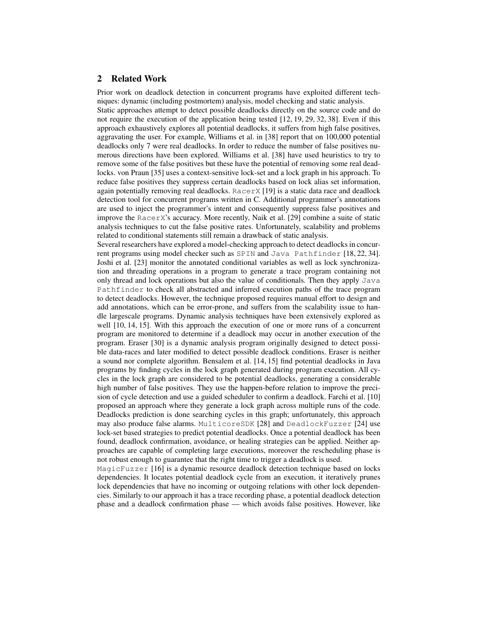# 2 Related Work

Prior work on deadlock detection in concurrent programs have exploited different techniques: dynamic (including postmortem) analysis, model checking and static analysis. Static approaches attempt to detect possible deadlocks directly on the source code and do not require the execution of the application being tested [12, 19, 29, 32, 38]. Even if this approach exhaustively explores all potential deadlocks, it suffers from high false positives, aggravating the user. For example, Williams et al. in [38] report that on 100,000 potential deadlocks only 7 were real deadlocks. In order to reduce the number of false positives numerous directions have been explored. Williams et al. [38] have used heuristics to try to remove some of the false positives but these have the potential of removing some real deadlocks. von Praun [35] uses a context-sensitive lock-set and a lock graph in his approach. To reduce false positives they suppress certain deadlocks based on lock alias set information, again potentially removing real deadlocks. RacerX  $[19]$  is a static data race and deadlock detection tool for concurrent programs written in C. Additional programmer's annotations are used to inject the programmer's intent and consequently suppress false positives and improve the RacerX's accuracy. More recently, Naik et al. [29] combine a suite of static analysis techniques to cut the false positive rates. Unfortunately, scalability and problems related to conditional statements still remain a drawback of static analysis.

Several researchers have explored a model-checking approach to detect deadlocks in concurrent programs using model checker such as SPIN and Java Pathfinder [18, 22, 34]. Joshi et al. [23] monitor the annotated conditional variables as well as lock synchronization and threading operations in a program to generate a trace program containing not only thread and lock operations but also the value of conditionals. Then they apply Java Pathfinder to check all abstracted and inferred execution paths of the trace program to detect deadlocks. However, the technique proposed requires manual effort to design and add annotations, which can be error-prone, and suffers from the scalability issue to handle largescale programs. Dynamic analysis techniques have been extensively explored as well [10, 14, 15]. With this approach the execution of one or more runs of a concurrent program are monitored to determine if a deadlock may occur in another execution of the program. Eraser [30] is a dynamic analysis program originally designed to detect possible data-races and later modified to detect possible deadlock conditions. Eraser is neither a sound nor complete algorithm. Bensalem et al. [14, 15] find potential deadlocks in Java programs by finding cycles in the lock graph generated during program execution. All cycles in the lock graph are considered to be potential deadlocks, generating a considerable high number of false positives. They use the happen-before relation to improve the precision of cycle detection and use a guided scheduler to confirm a deadlock. Farchi et al. [10] proposed an approach where they generate a lock graph across multiple runs of the code. Deadlocks prediction is done searching cycles in this graph; unfortunately, this approach may also produce false alarms. MulticoreSDK [28] and DeadlockFuzzer [24] use lock-set based strategies to predict potential deadlocks. Once a potential deadlock has been found, deadlock confirmation, avoidance, or healing strategies can be applied. Neither approaches are capable of completing large executions, moreover the rescheduling phase is not robust enough to guarantee that the right time to trigger a deadlock is used.

MagicFuzzer [16] is a dynamic resource deadlock detection technique based on locks dependencies. It locates potential deadlock cycle from an execution, it iteratively prunes lock dependencies that have no incoming or outgoing relations with other lock dependencies. Similarly to our approach it has a trace recording phase, a potential deadlock detection phase and a deadlock confirmation phase — which avoids false positives. However, like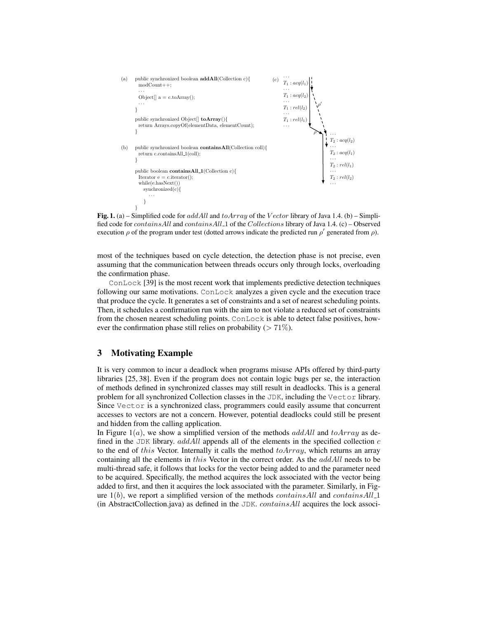

Fig. 1. (a) – Simplified code for add All and to Array of the Vector library of Java 1.4. (b) – Simplified code for *containsAll* and *containsAll* 1 of the *Collections* library of Java 1.4. (c) – Observed execution  $\rho$  of the program under test (dotted arrows indicate the predicted run  $\rho'$  generated from  $\rho$ ).

most of the techniques based on cycle detection, the detection phase is not precise, even assuming that the communication between threads occurs only through locks, overloading the confirmation phase.

ConLock [39] is the most recent work that implements predictive detection techniques following our same motivations. ConLock analyzes a given cycle and the execution trace that produce the cycle. It generates a set of constraints and a set of nearest scheduling points. Then, it schedules a confirmation run with the aim to not violate a reduced set of constraints from the chosen nearest scheduling points. ConLock is able to detect false positives, however the confirmation phase still relies on probability ( $> 71\%$ ).

# 3 Motivating Example

It is very common to incur a deadlock when programs misuse APIs offered by third-party libraries [25, 38]. Even if the program does not contain logic bugs per se, the interaction of methods defined in synchronized classes may still result in deadlocks. This is a general problem for all synchronized Collection classes in the JDK, including the Vector library. Since Vector is a synchronized class, programmers could easily assume that concurrent accesses to vectors are not a concern. However, potential deadlocks could still be present and hidden from the calling application.

In Figure 1(a), we show a simplified version of the methods  $addAll$  and  $toArray$  as defined in the JDK library.  $addAll$  appends all of the elements in the specified collection  $c$ to the end of this Vector. Internally it calls the method  $toArray$ , which returns an array containing all the elements in this Vector in the correct order. As the  $addAll$  needs to be multi-thread safe, it follows that locks for the vector being added to and the parameter need to be acquired. Specifically, the method acquires the lock associated with the vector being added to first, and then it acquires the lock associated with the parameter. Similarly, in Figure  $1(b)$ , we report a simplified version of the methods *containsAll* and *containsAll* 1 (in AbstractCollection.java) as defined in the JDK. *containsAll* acquires the lock associ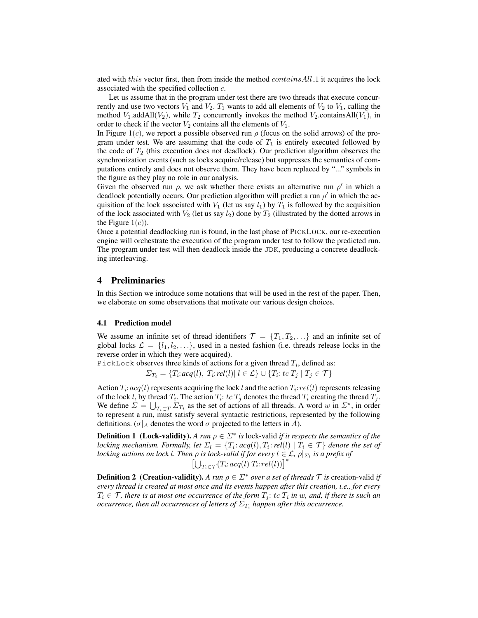ated with this vector first, then from inside the method  $containsAll\_1$  it acquires the lock associated with the specified collection c.

Let us assume that in the program under test there are two threads that execute concurrently and use two vectors  $V_1$  and  $V_2$ .  $T_1$  wants to add all elements of  $V_2$  to  $V_1$ , calling the method  $V_1$  addAll $(V_2)$ , while  $T_2$  concurrently invokes the method  $V_2$  containsAll $(V_1)$ , in order to check if the vector  $V_2$  contains all the elements of  $V_1$ .

In Figure 1(c), we report a possible observed run  $\rho$  (focus on the solid arrows) of the program under test. We are assuming that the code of  $T_1$  is entirely executed followed by the code of  $T_2$  (this execution does not deadlock). Our prediction algorithm observes the synchronization events (such as locks acquire/release) but suppresses the semantics of computations entirely and does not observe them. They have been replaced by "..." symbols in the figure as they play no role in our analysis.

Given the observed run  $\rho$ , we ask whether there exists an alternative run  $\rho'$  in which a deadlock potentially occurs. Our prediction algorithm will predict a run  $\rho'$  in which the acquisition of the lock associated with  $V_1$  (let us say  $l_1$ ) by  $T_1$  is followed by the acquisition of the lock associated with  $V_2$  (let us say  $l_2$ ) done by  $T_2$  (illustrated by the dotted arrows in the Figure  $1(c)$ ).

Once a potential deadlocking run is found, in the last phase of PICKLOCK, our re-execution engine will orchestrate the execution of the program under test to follow the predicted run. The program under test will then deadlock inside the JDK, producing a concrete deadlocking interleaving.

## 4 Preliminaries

In this Section we introduce some notations that will be used in the rest of the paper. Then, we elaborate on some observations that motivate our various design choices.

#### 4.1 Prediction model

We assume an infinite set of thread identifiers  $\mathcal{T} = \{T_1, T_2, \ldots\}$  and an infinite set of global locks  $\mathcal{L} = \{l_1, l_2, \ldots\}$ , used in a nested fashion (i.e. threads release locks in the reverse order in which they were acquired).

PickLock observes three kinds of actions for a given thread  $T_i$ , defined as:

$$
\Sigma_{T_i} = \{T_i: acq(l), T_i: rel(l) | l \in \mathcal{L}\} \cup \{T_i: tcT_j | T_j \in \mathcal{T}\}\
$$

Action  $T_i: a c q(l)$  represents acquiring the lock l and the action  $T_i: rel(l)$  represents releasing of the lock *l*, by thread  $T_i$ . The action  $T_i$ :  $tc$   $T_j$  denotes the thread  $T_i$  creating the thread  $T_j$ . We define  $\Sigma = \bigcup_{T_i \in T} \Sigma_{T_i}$  as the set of actions of all threads. A word w in  $\Sigma^*$ , in order to represent a run, must satisfy several syntactic restrictions, represented by the following definitions. ( $\sigma|_A$  denotes the word  $\sigma$  projected to the letters in A).

**Definition 1** (**Lock-validity**). *A run*  $\rho \in \Sigma^*$  *is* lock-valid *if it respects the semantics of the locking mechanism. Formally, let*  $\Sigma_l = \{T_i : acq(l), T_i : rel(l) \mid T_i \in \mathcal{T}\}$  *denote the set of locking actions on lock l. Then*  $\rho$  *is lock-valid if for every*  $l \in \mathcal{L}$ *,*  $\rho|_{\Sigma_l}$  *is a prefix of*  $\left[\bigcup_{T_i \in \mathcal{T}} (T_i:acq(l) T_i:rel(l))\right]^*$ 

**Definition 2** (Creation-validity). A run  $\rho \in \Sigma^*$  *over a set of threads*  $\mathcal T$  *is* creation-valid *if every thread is created at most once and its events happen after this creation, i.e., for every*  $T_i \in \mathcal{T}$ , there is at most one occurrence of the form  $T_j$ : tc  $T_i$  in w, and, if there is such an  $ocurrence,$  then all occurrences of letters of  $\varSigma_{T_i}$  happen after this occurrence.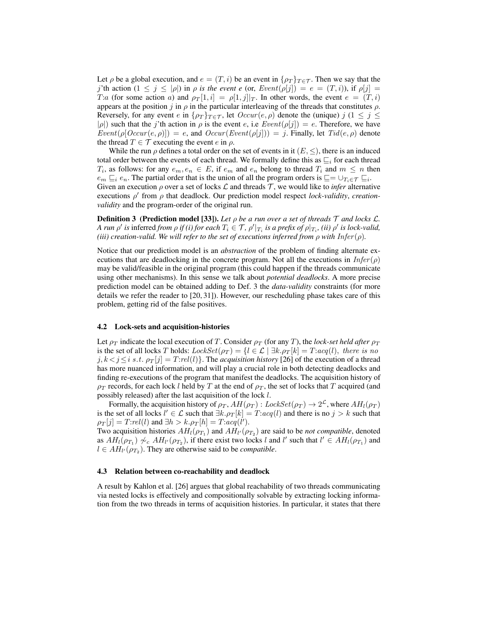Let  $\rho$  be a global execution, and  $e = (T, i)$  be an event in  $\{\rho_T\}_{T \in \mathcal{T}}$ . Then we say that the j'th action  $(1 \leq j \leq |\rho|)$  in  $\rho$  is the event e (or, Event $(\rho[j]) = e = (T, i)$ ), if  $\rho[j] =$ T:a (for some action a) and  $\rho_T[1, i] = \rho[1, j]|_T$ . In other words, the event  $e = (T, i)$ appears at the position j in  $\rho$  in the particular interleaving of the threads that constitutes  $\rho$ . Reversely, for any event e in  $\{\rho_T\}_{T \in \mathcal{T}}$ , let  $Occur(e, \rho)$  denote the (unique) j ( $1 \leq j \leq$  $|\rho|$ ) such that the j'th action in  $\rho$  is the event e, i.e  $Event(\rho[j]) = e$ . Therefore, we have  $Event(\rho[Occure, \rho)]) = e$ , and  $Occur(Event(\rho[j])) = j$ . Finally, let  $Tid(e, \rho)$  denote the thread  $T \in \mathcal{T}$  executing the event e in  $\rho$ .

While the run  $\rho$  defines a total order on the set of events in it  $(E, \leq)$ , there is an induced total order between the events of each thread. We formally define this as  $\subseteq_i$  for each thread  $T_i$ , as follows: for any  $e_m, e_n \in E$ , if  $e_m$  and  $e_n$  belong to thread  $T_i$  and  $m \leq n$  then  $e_m \sqsubseteq_i e_n$ . The partial order that is the union of all the program orders is  $\sqsubseteq = \bigcup_{T_i \in \mathcal{T}} \sqsubseteq_i$ . Given an execution  $\rho$  over a set of locks  $\mathcal L$  and threads  $\mathcal T$ , we would like to *infer* alternative executions ρ 0 from ρ that deadlock. Our prediction model respect *lock-validity*, *creationvalidity* and the program-order of the original run.

Definition 3 (Prediction model [33]). *Let* ρ *be a run over a set of threads* T *and locks* L*. A run*  $\rho'$  *is* inferred *from*  $\rho$  *if (i) for each*  $T_i \in \mathcal{T}$ ,  $\rho'|_{T_i}$  *is a prefix of*  $\rho|_{T_i}$ , *(ii)*  $\rho'$  *is lock-valid, (iii) creation-valid. We will refer to the set of executions inferred from*  $\rho$  *with*  $Infer(\rho)$ *.* 

Notice that our prediction model is an *abstraction* of the problem of finding alternate executions that are deadlocking in the concrete program. Not all the executions in  $Infer(\rho)$ may be valid/feasible in the original program (this could happen if the threads communicate using other mechanisms). In this sense we talk about *potential deadlocks*. A more precise prediction model can be obtained adding to Def. 3 the *data-validity* constraints (for more details we refer the reader to [20, 31]). However, our rescheduling phase takes care of this problem, getting rid of the false positives.

#### 4.2 Lock-sets and acquisition-histories

Let  $\rho_T$  indicate the local execution of T. Consider  $\rho_T$  (for any T), the *lock-set held after*  $\rho_T$ is the set of all locks T holds:  $LockSet(\rho_T) = \{l \in \mathcal{L} \mid \exists k.\rho_T[k] = T:acq(l), \text{ there is no }$  $j, k < j \leq i$  s.t.  $\rho_T[j] = T:rel(l)$ . The *acquisition history* [26] of the execution of a thread has more nuanced information, and will play a crucial role in both detecting deadlocks and finding re-executions of the program that manifest the deadlocks. The acquisition history of  $\rho_T$  records, for each lock l held by T at the end of  $\rho_T$ , the set of locks that T acquired (and possibly released) after the last acquisition of the lock l.

Formally, the acquisition history of  $\rho_T$ ,  $AH(\rho_T)$  :  $LockSet(\rho_T) \rightarrow 2^{\mathcal{L}}$ , where  $AH_l(\rho_T)$ is the set of all locks  $l' \in \mathcal{L}$  such that  $\exists k. \rho_T[k] = T:acq(l)$  and there is no  $j > k$  such that  $\rho_T[j] = T:rel(l)$  and  $\exists h > k. \rho_T[h] = T:acq(l').$ 

Two acquisition histories  $AH_l(\rho_{T_1})$  and  $AH_{l'}(\rho_{T_2})$  are said to be *not compatible*, denoted as  $AH_l(\rho_{T_1}) \nsim_c AH_{l'}(\rho_{T_2})$ , if there exist two locks l and l' such that  $l' \in AH_l(\rho_{T_1})$  and  $l \in AH_{l'}(\rho_{T_2})$ . They are otherwise said to be *compatible*.

### 4.3 Relation between co-reachability and deadlock

A result by Kahlon et al. [26] argues that global reachability of two threads communicating via nested locks is effectively and compositionally solvable by extracting locking information from the two threads in terms of acquisition histories. In particular, it states that there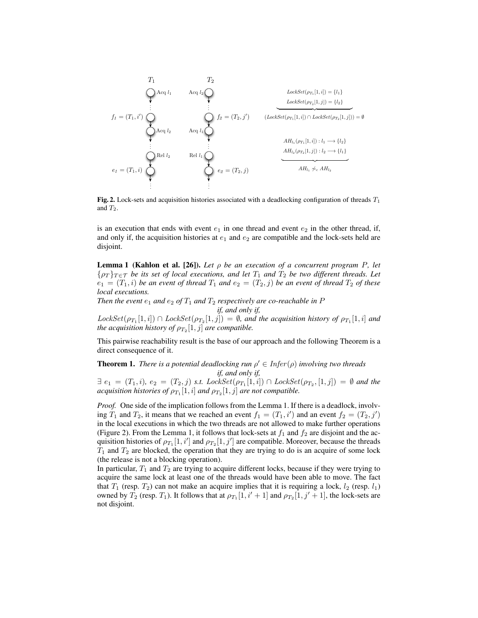$$
T_1 \t T_2
$$
\n
$$
\bigcap_{i=1}^{n} \text{Acq } l_1
$$
\n
$$
\bigcap_{i=1}^{n} \text{Acq } l_2
$$
\n
$$
\bigcap_{i=1}^{n} \text{Acq } l_2
$$
\n
$$
\bigcap_{i=1}^{n} \text{Acq } l_1
$$
\n
$$
\bigcap_{i=1}^{n} f_2 = (T_2, j')
$$
\n
$$
\bigcup_{i=1}^{n} \text{LocKSet}(p_{T_1}[1, i]) = \{l_1\}
$$
\n
$$
\bigcup_{i=1}^{n} f_2 = (T_2, j')
$$
\n
$$
\bigcup_{i=1}^{n} \text{LocKSet}(p_{T_1}[1, i]) \cap \text{LocKSet}(p_{T_2}[1, j]) = \emptyset
$$
\n
$$
\bigcap_{i=1}^{n} \text{Acq } l_1
$$
\n
$$
\bigcup_{i=1}^{n} \text{Rel } l_2
$$
\n
$$
\bigcup_{i=1}^{n} \text{Rel } l_1
$$
\n
$$
\bigcup_{i=1}^{n} \text{Rel } l_2
$$
\n
$$
\bigcup_{i=1}^{n} \text{Rel } l_1
$$
\n
$$
\bigcup_{i=1}^{n} \text{Rel } l_2
$$
\n
$$
\bigcup_{i=1}^{n} \text{Rel } l_1
$$
\n
$$
\bigcup_{i=1}^{n} \text{Rel } l_2
$$
\n
$$
\bigcup_{i=1}^{n} \text{Rel } l_1
$$
\n
$$
\bigcup_{i=1}^{n} \text{Rel } l_2
$$
\n
$$
\bigcup_{i=1}^{n} \text{Rel } l_1
$$
\n
$$
\bigcup_{i=1}^{n} \text{Rel } l_2
$$
\n
$$
\bigcup_{i=1}^{n} \text{Rel } l_1
$$
\n
$$
\bigcup_{i=1}^{n} \text{Rel } l_2
$$
\n
$$
\bigcup_{i=1}^{n} \text{Rel } l_1
$$
\n
$$
\bigcup_{i=1}^{n} \text{Rel } l_1
$$
\n
$$
\bigcup_{i=1}^{n} \text
$$

Fig. 2. Lock-sets and acquisition histories associated with a deadlocking configuration of threads  $T_1$ and  $T_2$ .

is an execution that ends with event  $e_1$  in one thread and event  $e_2$  in the other thread, if, and only if, the acquisition histories at  $e_1$  and  $e_2$  are compatible and the lock-sets held are disjoint.

Lemma 1 (Kahlon et al. [26]). *Let* ρ *be an execution of a concurrent program* P*, let*  $\{\rho_T\}_{T \in \mathcal{T}}$  *be its set of local executions, and let*  $T_1$  *and*  $T_2$  *be two different threads. Let*  $e_1 = (T_1, i)$  *be an event of thread*  $T_1$  *and*  $e_2 = (T_2, j)$  *be an event of thread*  $T_2$  *of these local executions.*

*Then the event*  $e_1$  *and*  $e_2$  *of*  $T_1$  *and*  $T_2$  *respectively are co-reachable in* P

*if, and only if,*

 $LockSet(\rho_{T_1}[1,i]) \cap LockSet(\rho_{T_2}[1,j]) = \emptyset$ , and the acquisition history of  $\rho_{T_1}[1,i]$  and *the acquisition history of*  $\rho_{T_2}[1,j]$  *are compatible.* 

This pairwise reachability result is the base of our approach and the following Theorem is a direct consequence of it.

**Theorem 1.** *There is a potential deadlocking run*  $\rho' \in \text{Infer}(\rho)$  *involving two threads if, and only if,*

 $\exists e_1 = (T_1, i), e_2 = (T_2, j) \text{ s.t. } LockSet(\rho_{T_1}[1, i]) \cap LockSet(\rho_{T_2}, [1, j]) = \emptyset \text{ and the}$  $acquisition$  histories of  $\rho_{T_1}[1,i]$  and  $\rho_{T_2}[1,j]$  are not compatible.

*Proof.* One side of the implication follows from the Lemma 1. If there is a deadlock, involving  $T_1$  and  $T_2$ , it means that we reached an event  $f_1 = (T_1, i')$  and an event  $f_2 = (T_2, j')$ in the local executions in which the two threads are not allowed to make further operations (Figure 2). From the Lemma 1, it follows that lock-sets at  $f_1$  and  $f_2$  are disjoint and the acquisition histories of  $\rho_{T_1}[1, i']$  and  $\rho_{T_2}[1, j']$  are compatible. Moreover, because the threads  $T_1$  and  $T_2$  are blocked, the operation that they are trying to do is an acquire of some lock (the release is not a blocking operation).

In particular,  $T_1$  and  $T_2$  are trying to acquire different locks, because if they were trying to acquire the same lock at least one of the threads would have been able to move. The fact that  $T_1$  (resp.  $T_2$ ) can not make an acquire implies that it is requiring a lock,  $l_2$  (resp.  $l_1$ ) owned by  $T_2$  (resp.  $T_1$ ). It follows that at  $\rho_{T_1}[1, i'+1]$  and  $\rho_{T_2}[1, j'+1]$ , the lock-sets are not disjoint.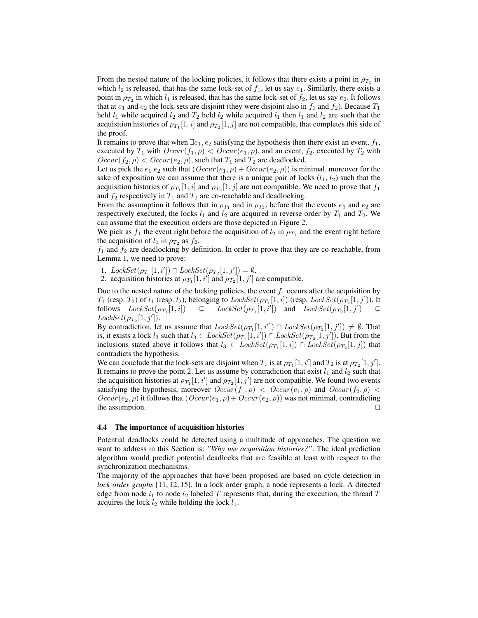From the nested nature of the locking policies, it follows that there exists a point in  $\rho_{T_1}$  in which  $l_2$  is released, that has the same lock-set of  $f_1$ , let us say  $e_1$ . Similarly, there exists a point in  $\rho_{T_2}$  in which  $l_1$  is released, that has the same lock-set of  $f_2$ , let us say  $e_2$ . It follows that at  $e_1$  and  $e_2$  the lock-sets are disjoint (they were disjoint also in  $f_1$  and  $f_2$ ). Because  $T_1$ held  $l_1$  while acquired  $l_2$  and  $T_2$  held  $l_2$  while acquired  $l_1$  then  $l_1$  and  $l_2$  are such that the acquisition histories of  $\rho_{T_1}[1,i]$  and  $\rho_{T_2}[1,j]$  are not compatible, that completes this side of the proof.

It remains to prove that when  $\exists e_1, e_2$  satisfying the hypothesis then there exist an event,  $f_1$ , executed by  $T_1$  with  $Occur(f_1, \rho) < Occur(e_1, \rho)$ , and an event,  $f_2$ , executed by  $T_2$  with  $Occur(f_2, \rho) < Occur(e_2, \rho)$ , such that  $T_1$  and  $T_2$  are deadlocked.

Let us pick the  $e_1 e_2$  such that  $(Occur(e_1, \rho) + Occur(e_2, \rho))$  is minimal, moreover for the sake of exposition we can assume that there is a unique pair of locks  $(l_1, l_2)$  such that the acquisition histories of  $\rho_{T_1}[1,i]$  and  $\rho_{T_2}[1,j]$  are not compatible. We need to prove that  $f_1$ and  $f_2$  respectively in  $T_1$  and  $T_2$  are co-reachable and deadlocking.

From the assumption it follows that in  $\rho_{T_1}$  and in  $\rho_{T_2}$ , before that the events  $e_1$  and  $e_2$  are respectively executed, the locks  $l_1$  and  $l_2$  are acquired in reverse order by  $T_1$  and  $T_2$ . We can assume that the execution orders are those depicted in Figure 2.

We pick as  $f_1$  the event right before the acquisition of  $l_2$  in  $\rho_{T_1}$  and the event right before the acquisition of  $l_1$  in  $\rho_{T_2}$  as  $f_2$ .

 $f_1$  and  $f_2$  are deadlocking by definition. In order to prove that they are co-reachable, from Lemma 1, we need to prove:

- 1.  $LockSet(\rho_{T_1}[1, i']) \cap LockSet(\rho_{T_2}[1, j']) = \emptyset.$
- 2. acquisition histories at  $\rho_{T_1}[1, i']$  and  $\rho_{T_2}[1, j']$  are compatible.

Due to the nested nature of the locking policies, the event  $f_1$  occurs after the acquisition by  $T_1$  (resp.  $T_2$ ) of  $l_1$  (resp.  $l_2$ ), belonging to  $LockSet(\rho_{T_1}[1,i])$  (resp.  $LockSet(\rho_{T_2}[1,j])$ ). It follows  $LockSet(\rho_{T_1}[1,i])$  $[1, i]$   $\subseteq$   $LockSet(\rho_{T_1}[1, i'])$  and  $LockSet(\rho_{T_2}[1, j])$   $\subseteq$  $LockSet(\rho_{T_2}[1,j']).$ 

By contradiction, let us assume that  $LockSet(\rho_{T_1}[1, i']) \cap LockSet(\rho_{T_2}[1, j']) \neq \emptyset$ . That is, it exists a lock  $l_3$  such that  $l_3 \in LockSet(\rho_{T_1}[1, i']) \cap LockSet(\rho_{T_2}[1, j'])$ . But from the inclusions stated above it follows that  $l_3 \in \text{LockSet}(\rho_{T_1}[1, i]) \cap \text{LockSet}(\rho_{T_2}[1, j])$  that contradicts the hypothesis.

We can conclude that the lock-sets are disjoint when  $T_1$  is at  $\rho_{T_1}[1, i']$  and  $T_2$  is at  $\rho_{T_2}[1, j']$ . It remains to prove the point 2. Let us assume by contradiction that exist  $l_1$  and  $l_2$  such that the acquisition histories at  $\rho_{T_1}[1, i']$  and  $\rho_{T_2}[1, j']$  are not compatible. We found two events satisfying the hypothesis, moreover  $Occur(f_1, \rho) < Occur(e_1, \rho)$  and  $Occur(f_2, \rho) <$  $Occur(e_2, \rho)$  it follows that  $(Occur(e_1, \rho) + Occur(e_2, \rho))$  was not minimal, contradicting the assumption.  $\Box$ 

#### 4.4 The importance of acquisition histories

Potential deadlocks could be detected using a multitude of approaches. The question we want to address in this Section is: *"Why use acquisition histories?"*. The ideal prediction algorithm would predict potential deadlocks that are feasible at least with respect to the synchronization mechanisms.

The majority of the approaches that have been proposed are based on cycle detection in *lock order graphs* [11, 12, 15]. In a lock order graph, a node represents a lock. A directed edge from node  $l_1$  to node  $l_2$  labeled T represents that, during the execution, the thread T acquires the lock  $l_2$  while holding the lock  $l_1$ .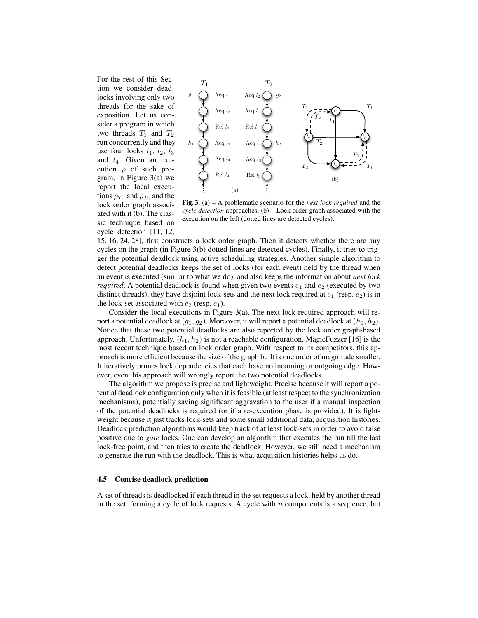For the rest of this Section we consider deadlocks involving only two threads for the sake of exposition. Let us consider a program in which two threads  $T_1$  and  $T_2$ run concurrently and they use four locks  $l_1$ ,  $l_2$ ,  $l_3$ and  $l_4$ . Given an execution  $\rho$  of such program, in Figure 3(a) we report the local executions  $\rho_{T_1}$  and  $\rho_{T_2}$  and the lock order graph associated with it (b). The classic technique based on cycle detection [11, 12,



Fig. 3. (a) – A problematic scenario for the *next lock required* and the *cycle detection* approaches. (b) – Lock order graph associated with the execution on the left (dotted lines are detected cycles).

15, 16, 24, 28], first constructs a lock order graph. Then it detects whether there are any cycles on the graph (in Figure 3(b) dotted lines are detected cycles). Finally, it tries to trigger the potential deadlock using active scheduling strategies. Another simple algorithm to detect potential deadlocks keeps the set of locks (for each event) held by the thread when an event is executed (similar to what we do), and also keeps the information about *next lock required*. A potential deadlock is found when given two events  $e_1$  and  $e_2$  (executed by two distinct threads), they have disjoint lock-sets and the next lock required at  $e_1$  (resp.  $e_2$ ) is in the lock-set associated with  $e_2$  (resp.  $e_1$ ).

Consider the local executions in Figure 3(a). The next lock required approach will report a potential deadlock at  $(g_1, g_2)$ . Moreover, it will report a potential deadlock at  $(h_1, h_2)$ . Notice that these two potential deadlocks are also reported by the lock order graph-based approach. Unfortunately,  $(h_1, h_2)$  is not a reachable configuration. MagicFuzzer [16] is the most recent technique based on lock order graph. With respect to its competitors, this approach is more efficient because the size of the graph built is one order of magnitude smaller. It iteratively prunes lock dependencies that each have no incoming or outgoing edge. However, even this approach will wrongly report the two potential deadlocks.

The algorithm we propose is precise and lightweight. Precise because it will report a potential deadlock configuration only when it is feasible (at least respect to the synchronization mechanisms), potentially saving significant aggravation to the user if a manual inspection of the potential deadlocks is required (or if a re-execution phase is provided). It is lightweight because it just tracks lock-sets and some small additional data, acquisition histories. Deadlock prediction algorithms would keep track of at least lock-sets in order to avoid false positive due to *gate* locks. One can develop an algorithm that executes the run till the last lock-free point, and then tries to create the deadlock. However, we still need a mechanism to generate the run with the deadlock. This is what acquisition histories helps us do.

#### 4.5 Concise deadlock prediction

A set of threads is deadlocked if each thread in the set requests a lock, held by another thread in the set, forming a cycle of lock requests. A cycle with  $n$  components is a sequence, but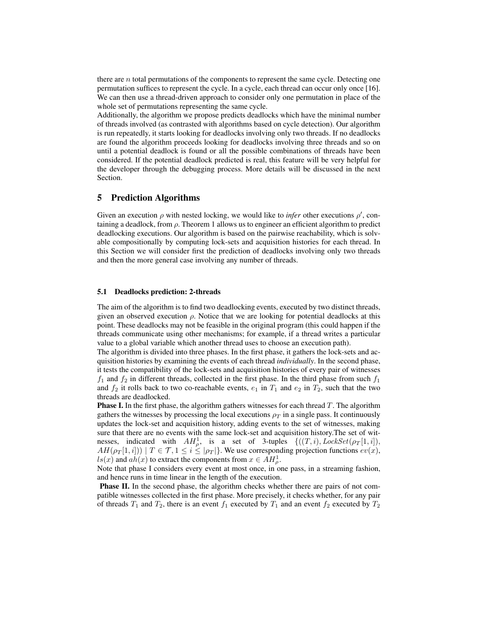there are  $n$  total permutations of the components to represent the same cycle. Detecting one permutation suffices to represent the cycle. In a cycle, each thread can occur only once [16]. We can then use a thread-driven approach to consider only one permutation in place of the whole set of permutations representing the same cycle.

Additionally, the algorithm we propose predicts deadlocks which have the minimal number of threads involved (as contrasted with algorithms based on cycle detection). Our algorithm is run repeatedly, it starts looking for deadlocks involving only two threads. If no deadlocks are found the algorithm proceeds looking for deadlocks involving three threads and so on until a potential deadlock is found or all the possible combinations of threads have been considered. If the potential deadlock predicted is real, this feature will be very helpful for the developer through the debugging process. More details will be discussed in the next Section.

# 5 Prediction Algorithms

Given an execution  $\rho$  with nested locking, we would like to *infer* other executions  $\rho'$ , containing a deadlock, from  $\rho$ . Theorem 1 allows us to engineer an efficient algorithm to predict deadlocking executions. Our algorithm is based on the pairwise reachability, which is solvable compositionally by computing lock-sets and acquisition histories for each thread. In this Section we will consider first the prediction of deadlocks involving only two threads and then the more general case involving any number of threads.

### 5.1 Deadlocks prediction: 2-threads

The aim of the algorithm is to find two deadlocking events, executed by two distinct threads, given an observed execution  $\rho$ . Notice that we are looking for potential deadlocks at this point. These deadlocks may not be feasible in the original program (this could happen if the threads communicate using other mechanisms; for example, if a thread writes a particular value to a global variable which another thread uses to choose an execution path).

The algorithm is divided into three phases. In the first phase, it gathers the lock-sets and acquisition histories by examining the events of each thread *individually*. In the second phase, it tests the compatibility of the lock-sets and acquisition histories of every pair of witnesses  $f_1$  and  $f_2$  in different threads, collected in the first phase. In the third phase from such  $f_1$ and  $f_2$  it rolls back to two co-reachable events,  $e_1$  in  $T_1$  and  $e_2$  in  $T_2$ , such that the two threads are deadlocked.

**Phase I.** In the first phase, the algorithm gathers witnesses for each thread  $T$ . The algorithm gathers the witnesses by processing the local executions  $\rho_T$  in a single pass. It continuously updates the lock-set and acquisition history, adding events to the set of witnesses, making sure that there are no events with the same lock-set and acquisition history.The set of witnesses, indicated with  $AH_{\rho}^1$ , is a set of 3-tuples  $\{((T,i), LockSet(\rho_T[1,i]),$  $AH(\rho_T[1,i])) | T \in \mathcal{T}, 1 \leq i \leq |\rho_T|$ . We use corresponding projection functions  $ev(x)$ ,  $ls(x)$  and  $ah(x)$  to extract the components from  $x \in AH^1_\rho$ .

Note that phase I considers every event at most once, in one pass, in a streaming fashion, and hence runs in time linear in the length of the execution.

Phase II. In the second phase, the algorithm checks whether there are pairs of not compatible witnesses collected in the first phase. More precisely, it checks whether, for any pair of threads  $T_1$  and  $T_2$ , there is an event  $f_1$  executed by  $T_1$  and an event  $f_2$  executed by  $T_2$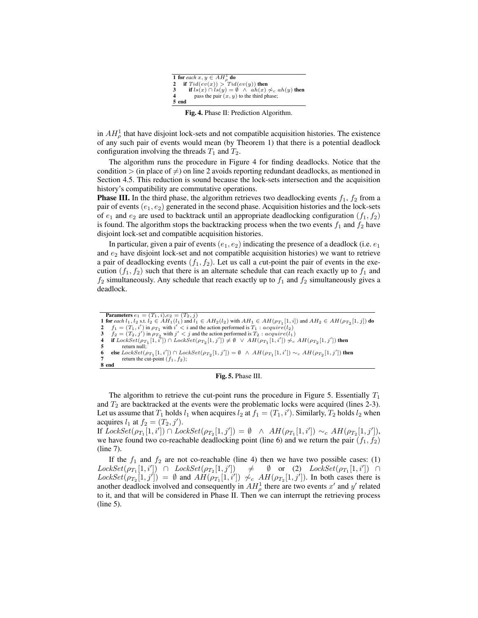

Fig. 4. Phase II: Prediction Algorithm.

in  $AH_{\rho}^1$  that have disjoint lock-sets and not compatible acquisition histories. The existence of any such pair of events would mean (by Theorem 1) that there is a potential deadlock configuration involving the threads  $T_1$  and  $T_2$ .

The algorithm runs the procedure in Figure 4 for finding deadlocks. Notice that the condition  $\ge$  (in place of  $\neq$ ) on line 2 avoids reporting redundant deadlocks, as mentioned in Section 4.5. This reduction is sound because the lock-sets intersection and the acquisition history's compatibility are commutative operations.

**Phase III.** In the third phase, the algorithm retrieves two deadlocking events  $f_1$ ,  $f_2$  from a pair of events  $(e_1, e_2)$  generated in the second phase. Acquisition histories and the lock-sets of  $e_1$  and  $e_2$  are used to backtrack until an appropriate deadlocking configuration  $(f_1, f_2)$ is found. The algorithm stops the backtracking process when the two events  $f_1$  and  $f_2$  have disjoint lock-set and compatible acquisition histories.

In particular, given a pair of events  $(e_1, e_2)$  indicating the presence of a deadlock (i.e.  $e_1$ ) and  $e_2$  have disjoint lock-set and not compatible acquisition histories) we want to retrieve a pair of deadlocking events  $(f_1, f_2)$ . Let us call a *cut*-point the pair of events in the execution  $(f_1, f_2)$  such that there is an alternate schedule that can reach exactly up to  $f_1$  and  $f_2$  simultaneously. Any schedule that reach exactly up to  $f_1$  and  $f_2$  simultaneously gives a deadlock.

**Parameters**  $e_1 = (T_1, i), e_2 = (T_2, j)$  for *each*  $l_1, l_2 \text{ s.t. } l_2 \in AH_1(l_1)$  and  $l_1 \in AH_2(l_2)$  with  $AH_1 \in AH(\rho_{T_1}[1, i])$  and  $AH_2 \in AH(\rho_{T_2}[1, j])$  do  $f_1 = (T_1, i')$  in  $\rho_{T_1}$  with  $i' < i$  and the action performed is  $T_1 : acquire(l_2)$  $f_2 = (T_2, j')$  in  $\rho_{T_2}$  with  $j' < j$  and the action performed is  $T_2 : acquire(l_1)$  if LockSet( $\rho_{T_1}[1, i^2]$ ) ∩ LockSet( $\rho_{T_2}[1, j^{\prime}]$ ) ≠  $\emptyset$  ∨  $AH(\rho_{T_1}[1, i^{\prime}]) \not\sim_c AH(\rho_{T_2}[1, j^{\prime}])$  then return null; 6 else  $LockSet(\rho_{T_1}[1, i']) \cap LockSet(\rho_{T_2}[1, j']) = \emptyset \land AH(\rho_{T_1}[1, i']) \sim_c AH(\rho_{T_2}[1, j'])$  then return the cut-point  $(f_1, f_2)$ ; 8 end

#### Fig. 5. Phase III.

The algorithm to retrieve the cut-point runs the procedure in Figure 5. Essentially  $T_1$ and  $T_2$  are backtracked at the events were the problematic locks were acquired (lines 2-3). Let us assume that  $T_1$  holds  $l_1$  when acquires  $l_2$  at  $f_1 = (T_1, i')$ . Similarly,  $T_2$  holds  $l_2$  when acquires  $l_1$  at  $f_2 = (T_2, j').$ 

If  $LockSet(\rho_{T_1}[1,i']) \cap LockSet(\rho_{T_2}[1,j']) = \emptyset \quad \wedge \quad AH(\rho_{T_1}[1,i']) \sim_c AH(\rho_{T_2}[1,j'])$ we have found two co-reachable deadlocking point (line 6) and we return the pair  $(f_1, f_2)$ (line 7).

If the  $f_1$  and  $f_2$  are not co-reachable (line 4) then we have two possible cases: (1)  $LockSet(\rho_{T_1}[1,i']) \cap LockSet(\rho_{T_2}[1,j']) \neq \emptyset \text{ or } (2) LockSet(\rho_{T_1}[1,i']) \cap$  $LockSet(\rho_{T_2}[1,j']) = \emptyset$  and  $AH(\rho_{T_1}[1,i']) \nsim c \cdot AH(\rho_{T_2}[1,j'])$ . In both cases there is another deadlock involved and consequently in  $AH_{\rho}^{1}$  there are two events  $x'$  and  $y'$  related to it, and that will be considered in Phase II. Then we can interrupt the retrieving process (line 5).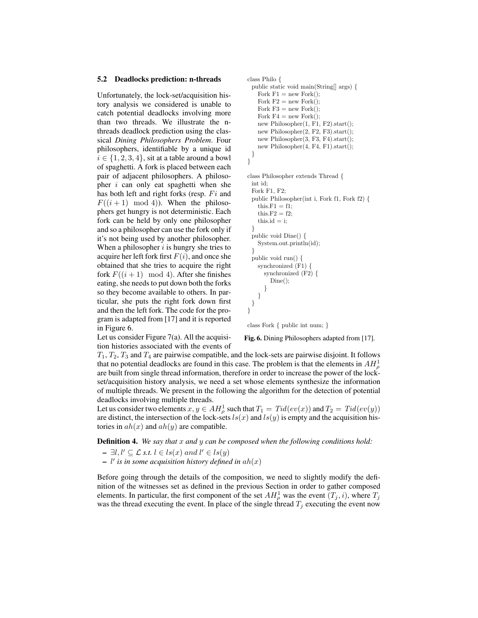#### 5.2 Deadlocks prediction: n-threads

Unfortunately, the lock-set/acquisition history analysis we considered is unable to catch potential deadlocks involving more than two threads. We illustrate the nthreads deadlock prediction using the classical *Dining Philosophers Problem*. Four philosophers, identifiable by a unique id  $i \in \{1, 2, 3, 4\}$ , sit at a table around a bowl of spaghetti. A fork is placed between each pair of adjacent philosophers. A philosopher i can only eat spaghetti when she has both left and right forks (resp.  $Fi$  and  $F((i + 1) \mod 4)$ . When the philosophers get hungry is not deterministic. Each fork can be held by only one philosopher and so a philosopher can use the fork only if it's not being used by another philosopher. When a philosopher  $i$  is hungry she tries to acquire her left fork first  $F(i)$ , and once she obtained that she tries to acquire the right fork  $F((i + 1) \mod 4)$ . After she finishes eating, she needs to put down both the forks so they become available to others. In particular, she puts the right fork down first and then the left fork. The code for the program is adapted from [17] and it is reported in Figure 6.

Let us consider Figure 7(a). All the acquisition histories associated with the events of

```
class Philo {
 public static void main(String[] args) {
    Fork F1 = new Fork();Fork F2 = new Fork();Fork F3 = new Fork();
    Fork F4 = new Fork();new Philosopher(1, F1, F2).start();
    new Philosopher(2, F2, F3).start();
   new Philosopher(3, F3, F4).start();
    new Philosopher(4, F4, F1).start();
 }
}
class Philosopher extends Thread {
 int id;
 Fork F1, F2;
 public Philosopher(int i, Fork f1, Fork f2) {
    this.F1 = f1;
    this.F2 = f2:
    this.id = i;
 }
 public void Dine() {
    System.out.println(id);
  }
public void run() {
    synchronized (F1)synchronized (F2) {
        Dine();
      }
    }
 }
}
```
class Fork { public int num; }

Fig. 6. Dining Philosophers adapted from [17].

 $T_1, T_2, T_3$  and  $T_4$  are pairwise compatible, and the lock-sets are pairwise disjoint. It follows that no potential deadlocks are found in this case. The problem is that the elements in  $AH^1_\rho$ are built from single thread information, therefore in order to increase the power of the lockset/acquisition history analysis, we need a set whose elements synthesize the information of multiple threads. We present in the following the algorithm for the detection of potential deadlocks involving multiple threads.

Let us consider two elements  $x, y \in AH^1_\rho$  such that  $T_1 = Tid(ev(x))$  and  $T_2 = Tid(ev(y))$ are distinct, the intersection of the lock-sets  $ls(x)$  and  $ls(y)$  is empty and the acquisition histories in  $ah(x)$  and  $ah(y)$  are compatible.

Definition 4. *We say that* x *and* y *can be composed when the following conditions hold:*

- $\exists l, l' \subseteq \mathcal{L}$  *s.t.*  $l \in ls(x)$  and  $l' \in ls(y)$
- $-$  l' is in some acquisition history defined in  $ah(x)$

Before going through the details of the composition, we need to slightly modify the definition of the witnesses set as defined in the previous Section in order to gather composed elements. In particular, the first component of the set  $AH_{\rho}^1$  was the event  $(T_j, i)$ , where  $T_j$ was the thread executing the event. In place of the single thread  $T_j$  executing the event now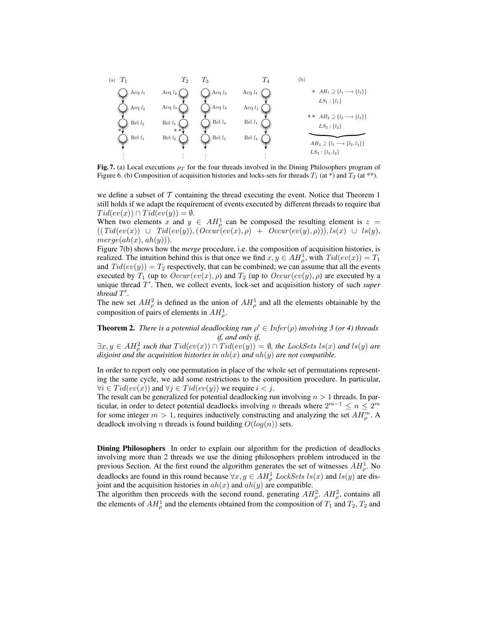(a) 
$$
T_1
$$
  
\n $\begin{array}{c}\n\begin{array}{c}\n\begin{array}{c}\n\end{array} & \begin{array}{c}\n\end{array} & \begin{array}{c}\n\end{array} & \begin{array}{c}\n\end{array} & \begin{array}{c}\n\end{array} & \begin{array}{c}\n\end{array} & \begin{array}{c}\n\end{array} & \begin{array}{c}\n\end{array} & \begin{array}{c}\n\end{array} & \begin{array}{c}\n\end{array} & \begin{array}{c}\n\end{array} & \begin{array}{c}\n\end{array} & \begin{array}{c}\n\end{array} & \begin{array}{c}\n\end{array} & \begin{array}{c}\n\end{array} & \begin{array}{c}\n\end{array} & \begin{array}{c}\n\end{array} & \begin{array}{c}\n\end{array} & \begin{array}{c}\n\end{array} & \begin{array}{c}\n\end{array} & \begin{array}{c}\n\end{array} & \begin{array}{c}\n\end{array} & \begin{array}{c}\n\end{array} & \begin{array}{c}\n\end{array} & \begin{array}{c}\n\end{array} & \begin{array}{c}\n\end{array} & \begin{array}{c}\n\end{array} & \begin{array}{c}\n\end{array} & \begin{array}{c}\n\end{array} & \begin{array}{c}\n\end{array} & \begin{array}{c}\n\end{array} & \begin{array}{c}\n\end{array} & \begin{array}{c}\n\end{array} & \begin{array}{c}\n\end{array} & \begin{array}{c}\n\end{array} & \begin{array}{c}\n\end{array} & \begin{array}{c}\n\end{array} & \begin{array}{c}\n\end{array} & \begin{array}{c}\n\end{array} & \begin{array}{c}\n\end{array} & \begin{array}{c}\n\end{array} & \begin{array}{c}\n\end{array} & \begin{array}{c}\n\end{array} & \begin{array}{c}\n\end{array} & \begin{array}{c}\n\end{array} & \begin{array}{c}\n\end{array} & \begin{array}{c}\n\end{array} & \begin{array}{c}\n\end{array} & \begin{array}{c}\n\end{array} & \begin{array}{c}\n\end{array} & \begin{array}{c}\n\end{array} & \begin{array}{c}\n\end{array} & \begin{array}{c$ 

Fig. 7. (a) Local executions  $\rho_T$  for the four threads involved in the Dining Philosophers program of Figure 6. (b) Composition of acquisition histories and locks-sets for threads  $T_1$  (at \*) and  $T_2$  (at \*\*).

we define a subset of  $\mathcal T$  containing the thread executing the event. Notice that Theorem 1 still holds if we adapt the requirement of events executed by different threads to require that  $Tid(ev(x)) \cap Tid(ev(y)) = \emptyset.$ 

When two elements x and  $y \in AH^1$  can be composed the resulting element is  $z =$  $((Tid(ev(x)) \cup Tid(ev(y)),(Occur(ev(x), \rho) + Occur(ev(y), \rho))), ls(x) \cup ls(y),$  $merge(ah(x), ah(y))$ .

Figure 7(b) shows how the *merge* procedure, i.e. the composition of acquisition histories, is realized. The intuition behind this is that once we find  $x, y \in AH_{\rho}^1$ , with  $Tid(ev(x)) = T_1$ and  $Tid(ev(y)) = T_2$  respectively, that can be combined; we can assume that all the events executed by  $T_1$  (up to  $Occur(ev(x), \rho)$  and  $T_2$  (up to  $Occur(ev(y), \rho)$  are executed by a unique thread T 0 . Then, we collect events, lock-set and acquisition history of such *super thread* T 0 .

The new set  $AH_{\rho}^2$  is defined as the union of  $AH_{\rho}^1$  and all the elements obtainable by the composition of pairs of elements in  $AH^1_\rho$ .

**Theorem 2.** *There is a potential deadlocking run*  $\rho' \in \text{Infer}(\rho)$  *involving 3 (or 4) threads if, and only if,*

 $\exists x, y \in AH_{\rho}^2$  such that  $Tid(ev(x)) \cap Tid(ev(y)) = \emptyset$ , the LockSets ls(x) and ls(y) are *disjoint and the acquisition histories in* ah(x) *and* ah(y) *are not compatible.*

In order to report only one permutation in place of the whole set of permutations representing the same cycle, we add some restrictions to the composition procedure. In particular,  $\forall i \in T \text{ } id \text{ }(ev \text{ }(x) \text{)}$  and  $\forall j \in T \text{ } id \text{ }(ev \text{ }(y) \text{)}$  we require  $i < j$ .

The result can be generalized for potential deadlocking run involving  $n > 1$  threads. In particular, in order to detect potential deadlocks involving *n* threads where  $2^{m-1} \le n \le 2^m$ for some integer  $m > 1$ , requires inductively constructing and analyzing the set  $AH_{\rho}^{m}$ . A deadlock involving *n* threads is found building  $O(log(n))$  sets.

Dining Philosophers In order to explain our algorithm for the prediction of deadlocks involving more than 2 threads we use the dining philosophers problem introduced in the previous Section. At the first round the algorithm generates the set of witnesses  $AH_{\rho}^{1}$ . No deadlocks are found in this round because  $\forall x, y \in AH^1_\rho$  LockSets ls(x) and ls(y) are disjoint and the acquisition histories in  $ah(x)$  and  $ah(y)$  are compatible.

The algorithm then proceeds with the second round, generating  $AH^2_\rho$ .  $AH^2_\rho$ , contains all the elements of  $AH_{\rho}^1$  and the elements obtained from the composition of  $T_1$  and  $T_2$ ,  $T_2$  and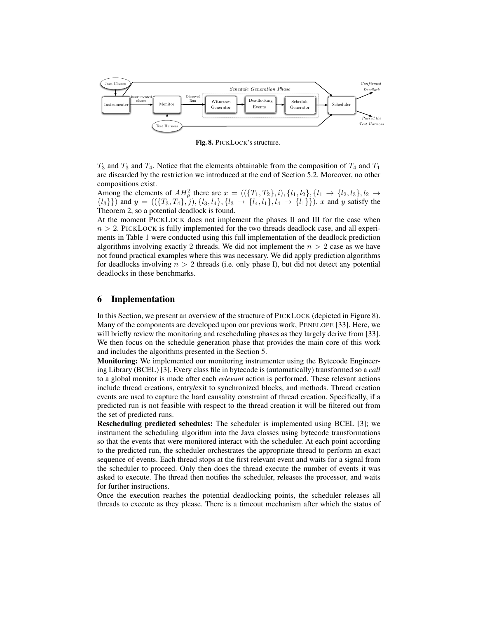

Fig. 8. PICKLOCK's structure.

 $T_3$  and  $T_4$  and  $T_4$ . Notice that the elements obtainable from the composition of  $T_4$  and  $T_1$ are discarded by the restriction we introduced at the end of Section 5.2. Moreover, no other compositions exist.

Among the elements of  $AH_1^2$  there are  $x = (({T_1, T_2}, i), {l_1, l_2}, {l_1 \rightarrow {l_2, l_3}}, l_2 \rightarrow$  $\{l_3\}\}\)$  and  $y = ((\{T_3, T_4\}, j), \{l_3, l_4\}, \{l_3 \rightarrow \{l_4, l_1\}, l_4 \rightarrow \{l_1\}\})$ . x and y satisfy the Theorem 2, so a potential deadlock is found.

At the moment PICKLOCK does not implement the phases II and III for the case when  $n > 2$ . PICKLOCK is fully implemented for the two threads deadlock case, and all experiments in Table 1 were conducted using this full implementation of the deadlock prediction algorithms involving exactly 2 threads. We did not implement the  $n > 2$  case as we have not found practical examples where this was necessary. We did apply prediction algorithms for deadlocks involving  $n > 2$  threads (i.e. only phase I), but did not detect any potential deadlocks in these benchmarks.

## 6 Implementation

In this Section, we present an overview of the structure of PICKLOCK (depicted in Figure 8). Many of the components are developed upon our previous work, PENELOPE [33]. Here, we will briefly review the monitoring and rescheduling phases as they largely derive from [33]. We then focus on the schedule generation phase that provides the main core of this work and includes the algorithms presented in the Section 5.

Monitoring: We implemented our monitoring instrumenter using the Bytecode Engineering Library (BCEL) [3]. Every class file in bytecode is (automatically) transformed so a *call* to a global monitor is made after each *relevant* action is performed. These relevant actions include thread creations, entry/exit to synchronized blocks, and methods. Thread creation events are used to capture the hard causality constraint of thread creation. Specifically, if a predicted run is not feasible with respect to the thread creation it will be filtered out from the set of predicted runs.

Rescheduling predicted schedules: The scheduler is implemented using BCEL [3]; we instrument the scheduling algorithm into the Java classes using bytecode transformations so that the events that were monitored interact with the scheduler. At each point according to the predicted run, the scheduler orchestrates the appropriate thread to perform an exact sequence of events. Each thread stops at the first relevant event and waits for a signal from the scheduler to proceed. Only then does the thread execute the number of events it was asked to execute. The thread then notifies the scheduler, releases the processor, and waits for further instructions.

Once the execution reaches the potential deadlocking points, the scheduler releases all threads to execute as they please. There is a timeout mechanism after which the status of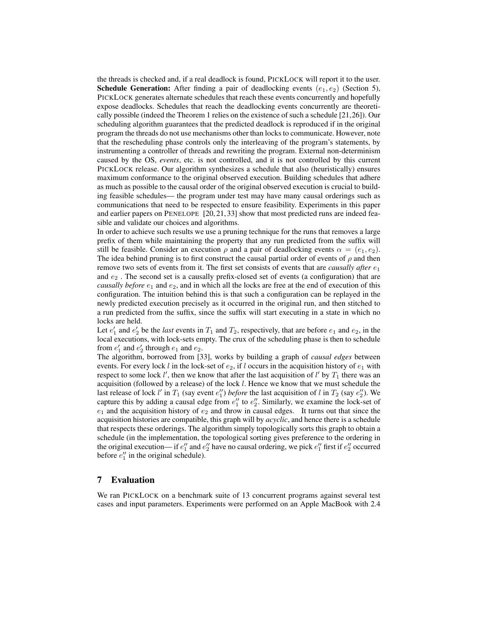the threads is checked and, if a real deadlock is found, PICKLOCK will report it to the user. **Schedule Generation:** After finding a pair of deadlocking events  $(e_1, e_2)$  (Section 5), PICKLOCK generates alternate schedules that reach these events concurrently and hopefully expose deadlocks. Schedules that reach the deadlocking events concurrently are theoretically possible (indeed the Theorem 1 relies on the existence of such a schedule [21,26]). Our scheduling algorithm guarantees that the predicted deadlock is reproduced if in the original program the threads do not use mechanisms other than locks to communicate. However, note that the rescheduling phase controls only the interleaving of the program's statements, by instrumenting a controller of threads and rewriting the program. External non-determinism caused by the OS, *events*, etc. is not controlled, and it is not controlled by this current PICKLOCK release. Our algorithm synthesizes a schedule that also (heuristically) ensures maximum conformance to the original observed execution. Building schedules that adhere as much as possible to the causal order of the original observed execution is crucial to building feasible schedules— the program under test may have many causal orderings such as communications that need to be respected to ensure feasibility. Experiments in this paper and earlier papers on PENELOPE  $[20, 21, 33]$  show that most predicted runs are indeed feasible and validate our choices and algorithms.

In order to achieve such results we use a pruning technique for the runs that removes a large prefix of them while maintaining the property that any run predicted from the suffix will still be feasible. Consider an execution  $\rho$  and a pair of deadlocking events  $\alpha = (e_1, e_2)$ . The idea behind pruning is to first construct the causal partial order of events of  $\rho$  and then remove two sets of events from it. The first set consists of events that are *causally after*  $e_1$ and  $e_2$ . The second set is a causally prefix-closed set of events (a configuration) that are *causally before*  $e_1$  and  $e_2$ , and in which all the locks are free at the end of execution of this configuration. The intuition behind this is that such a configuration can be replayed in the newly predicted execution precisely as it occurred in the original run, and then stitched to a run predicted from the suffix, since the suffix will start executing in a state in which no locks are held.

Let  $e'_1$  and  $e'_2$  be the *last* events in  $T_1$  and  $T_2$ , respectively, that are before  $e_1$  and  $e_2$ , in the local executions, with lock-sets empty. The crux of the scheduling phase is then to schedule from  $e'_1$  and  $e'_2$  through  $e_1$  and  $e_2$ .

The algorithm, borrowed from [33], works by building a graph of *causal edges* between events. For every lock l in the lock-set of  $e_2$ , if l occurs in the acquisition history of  $e_1$  with respect to some lock  $l'$ , then we know that after the last acquisition of  $l'$  by  $T_1$  there was an acquisition (followed by a release) of the lock l. Hence we know that we must schedule the last release of lock  $l'$  in  $T_1$  (say event  $e_1''$ ) *before* the last acquisition of  $l$  in  $T_2$  (say  $e_2''$ ). We capture this by adding a causal edge from  $e_1''$  to  $e_2''$ . Similarly, we examine the lock-set of  $e_1$  and the acquisition history of  $e_2$  and throw in causal edges. It turns out that since the acquisition histories are compatible, this graph will by *acyclic*, and hence there is a schedule that respects these orderings. The algorithm simply topologically sorts this graph to obtain a schedule (in the implementation, the topological sorting gives preference to the ordering in the original execution— if  $e''_1$  and  $e''_2$  have no causal ordering, we pick  $e''_1$  first if  $e''_2$  occurred before  $e_1''$  in the original schedule).

# 7 Evaluation

We ran PICKLOCK on a benchmark suite of 13 concurrent programs against several test cases and input parameters. Experiments were performed on an Apple MacBook with 2.4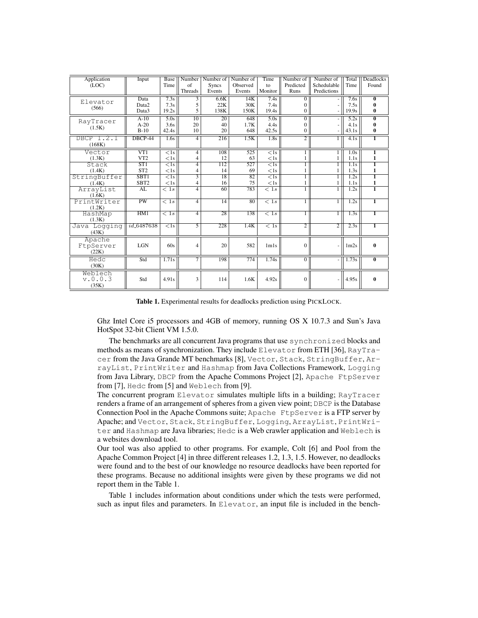| Application<br>(LOC)         | Input                      | <b>Base</b><br>Time                | of<br>Threads               | Number   Number of<br>Syncs<br>Events | Number of<br>Observed<br>Events | Time<br>to<br>Monitor              | Number of<br>Predicted<br>Runs         | Number of<br>Schedulable<br>Predictions | Total<br>Time                      | <b>Deadlocks</b><br>Found                       |
|------------------------------|----------------------------|------------------------------------|-----------------------------|---------------------------------------|---------------------------------|------------------------------------|----------------------------------------|-----------------------------------------|------------------------------------|-------------------------------------------------|
| Elevator                     | Data<br>Data2              | 7.3s<br>7.3s                       | 3<br>5                      | 6.6K<br>22K                           | 14K<br>30K                      | 7.4s<br>7.4s                       | $\overline{0}$<br>$\Omega$             |                                         | 7.6s<br>7.5s                       | $\bf{0}$<br>$\bf{0}$                            |
| (566)                        | Data3                      | 19.2s                              | 5                           | 138K                                  | 150K                            | 19.4s                              | $\Omega$                               |                                         | 19.9s                              | $\bf{0}$                                        |
| RayTracer<br>(1.5K)          | $A-10$<br>$A-20$<br>$B-10$ | $\overline{5.0s}$<br>3.6s<br>42.4s | $\overline{10}$<br>20<br>10 | 20<br>40<br>20                        | 648<br>1.7K<br>648              | $\overline{5.0s}$<br>4.4s<br>42.5s | $\overline{0}$<br>$\Omega$<br>$\Omega$ | ÷                                       | $\overline{5.2s}$<br>4.1s<br>43.1s | $\overline{\mathbf{0}}$<br>$\bf{0}$<br>$\bf{0}$ |
| DBCP 1.2.1<br>(168K)         | DBCP-44                    | 1.6s                               | 4                           | 216                                   | 1.5K                            | $\overline{1.8s}$                  | $\overline{2}$                         | 1                                       | 4.1s                               | $\overline{1}$                                  |
| Vector                       | VT1<br>VT <sub>2</sub>     | $\overline{<}1s$                   | 4<br>4                      | 108<br>12                             | 525<br>63                       | $\overline{<}1s$                   |                                        |                                         | 1.0s<br>1.1s                       | 1<br>$\mathbf{1}$                               |
| (1.3K)<br>Stack              | ST1                        | $<$ 1s<br>$\overline{<}1s$         | 4                           | 112                                   | 527                             | $<$ 1s<br>$\overline{<}1s$         |                                        |                                         | 1.1s                               | ī                                               |
| (1.4K)                       | ST <sub>2</sub>            | $<$ 1s                             | 4                           | 14                                    | 69                              | < 1s                               |                                        |                                         | 1.3s                               | 1                                               |
| StringBuffer                 | SBT <sub>1</sub>           | $\overline{<}1s$                   | $\overline{\mathbf{3}}$     | 18                                    | 82                              | $\overline{<}1s$                   |                                        |                                         | 1.2s                               | ī                                               |
| (1.4K)<br>ArrayList          | SBT <sub>2</sub><br>AL     | $<$ 1s<br>< 1s                     | 4<br>4                      | 16<br>60                              | 75<br>783                       | $<$ 1s<br>< 1s                     |                                        |                                         | 1.1s<br>1.2s                       | $\mathbf{1}$<br>$\overline{\mathbf{1}}$         |
| (1.6K)                       |                            |                                    |                             |                                       |                                 |                                    |                                        |                                         |                                    |                                                 |
| PrintWriter<br>(1.2K)        | PW                         | $\overline{<1s}$                   | 4                           | 14                                    | 80                              | $\overline{<1s}$                   |                                        | 1                                       | 1.2s                               | 1                                               |
| HashMap<br>(1.3K)            | HM1                        | $\overline{<1s}$                   | 4                           | $\overline{28}$                       | 138                             | $\overline{<1s}$                   |                                        | 1                                       | $\overline{1.3s}$                  | $\overline{1}$                                  |
| Java Logging<br>(43K)        | id.6487638                 | $\overline{<}1s$                   | 5                           | $\overline{228}$                      | 1.4K                            | $\overline{<1s}$                   | $\overline{2}$                         | $\overline{2}$                          | 2.3s                               | $\overline{1}$                                  |
| Apache<br>FtpServer<br>(22K) | <b>LGN</b>                 | 60s                                | 4                           | 20                                    | 582                             | 1 <sub>m</sub> 1 <sub>s</sub>      | $\Omega$                               |                                         | 1 <sub>m2s</sub>                   | $\bf{0}$                                        |
| Hedc<br>(30K)                | Std                        | 1.71s                              | 7                           | 198                                   | 774                             | 1.74s                              | $\overline{0}$                         | ÷,                                      | 1.73s                              | $\overline{0}$                                  |
| Weblech<br>v.0.0.3<br>(35K)  | Std                        | 4.91s                              | 3                           | 114                                   | 1.6K                            | 4.92s                              | $\Omega$                               |                                         | 4.95s                              | $\bf{0}$                                        |

Table 1. Experimental results for deadlocks prediction using PICKLOCK.

Ghz Intel Core i5 processors and 4GB of memory, running OS X 10.7.3 and Sun's Java HotSpot 32-bit Client VM 1.5.0.

The benchmarks are all concurrent Java programs that use synchronized blocks and methods as means of synchronization. They include Elevator from ETH [36], RayTracer from the Java Grande MT benchmarks [8], Vector, Stack, StringBuffer, ArrayList, PrintWriter and Hashmap from Java Collections Framework, Logging from Java Library, DBCP from the Apache Commons Project [2], Apache FtpServer from [7], Hedc from [5] and Weblech from [9].

The concurrent program Elevator simulates multiple lifts in a building; RayTracer renders a frame of an arrangement of spheres from a given view point; DBCP is the Database Connection Pool in the Apache Commons suite; Apache FtpServer is a FTP server by Apache; and Vector, Stack, StringBuffer, Logging, ArrayList, PrintWriter and Hashmap are Java libraries; Hedc is a Web crawler application and Weblech is a websites download tool.

Our tool was also applied to other programs. For example, Colt [6] and Pool from the Apache Common Project [4] in three different releases 1.2, 1.3, 1.5. However, no deadlocks were found and to the best of our knowledge no resource deadlocks have been reported for these programs. Because no additional insights were given by these programs we did not report them in the Table 1.

Table 1 includes information about conditions under which the tests were performed, such as input files and parameters. In  $E$ levator, an input file is included in the bench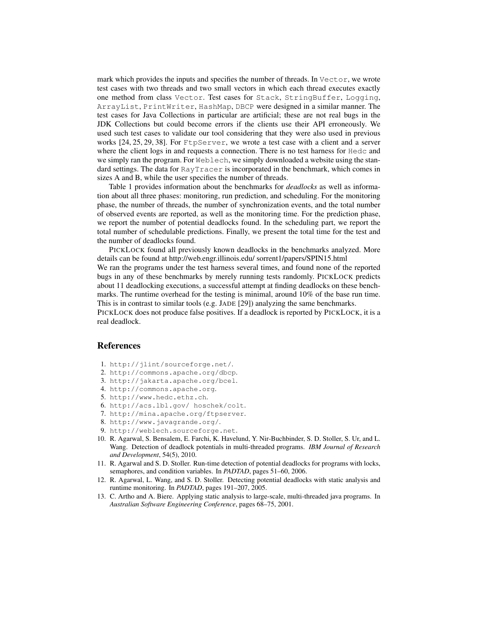mark which provides the inputs and specifies the number of threads. In Vector, we wrote test cases with two threads and two small vectors in which each thread executes exactly one method from class Vector. Test cases for Stack, StringBuffer, Logging, ArrayList, PrintWriter, HashMap, DBCP were designed in a similar manner. The test cases for Java Collections in particular are artificial; these are not real bugs in the JDK Collections but could become errors if the clients use their API erroneously. We used such test cases to validate our tool considering that they were also used in previous works [24, 25, 29, 38]. For FtpServer, we wrote a test case with a client and a server where the client logs in and requests a connection. There is no test harness for Hedc and we simply ran the program. For Weblech, we simply downloaded a website using the standard settings. The data for RayTracer is incorporated in the benchmark, which comes in sizes A and B, while the user specifies the number of threads.

Table 1 provides information about the benchmarks for *deadlocks* as well as information about all three phases: monitoring, run prediction, and scheduling. For the monitoring phase, the number of threads, the number of synchronization events, and the total number of observed events are reported, as well as the monitoring time. For the prediction phase, we report the number of potential deadlocks found. In the scheduling part, we report the total number of schedulable predictions. Finally, we present the total time for the test and the number of deadlocks found.

PICKLOCK found all previously known deadlocks in the benchmarks analyzed. More details can be found at http://web.engr.illinois.edu/ sorrent1/papers/SPIN15.html We ran the programs under the test harness several times, and found none of the reported bugs in any of these benchmarks by merely running tests randomly. PICKLOCK predicts about 11 deadlocking executions, a successful attempt at finding deadlocks on these benchmarks. The runtime overhead for the testing is minimal, around 10% of the base run time. This is in contrast to similar tools (e.g. JADE [29]) analyzing the same benchmarks.

PICKLOCK does not produce false positives. If a deadlock is reported by PICKLOCK, it is a real deadlock.

### References

- 1. http://jlint/sourceforge.net/.
- 2. http://commons.apache.org/dbcp.
- 3. http://jakarta.apache.org/bcel.
- 4. http://commons.apache.org.
- 5. http://www.hedc.ethz.ch.
- 6. http://acs.lbl.gov/ hoschek/colt.
- 7. http://mina.apache.org/ftpserver.
- 8. http://www.javagrande.org/.
- 9. http://weblech.sourceforge.net.
- 10. R. Agarwal, S. Bensalem, E. Farchi, K. Havelund, Y. Nir-Buchbinder, S. D. Stoller, S. Ur, and L. Wang. Detection of deadlock potentials in multi-threaded programs. *IBM Journal of Research and Development*, 54(5), 2010.
- 11. R. Agarwal and S. D. Stoller. Run-time detection of potential deadlocks for programs with locks, semaphores, and condition variables. In *PADTAD*, pages 51–60, 2006.
- 12. R. Agarwal, L. Wang, and S. D. Stoller. Detecting potential deadlocks with static analysis and runtime monitoring. In *PADTAD*, pages 191–207, 2005.
- 13. C. Artho and A. Biere. Applying static analysis to large-scale, multi-threaded java programs. In *Australian Software Engineering Conference*, pages 68–75, 2001.